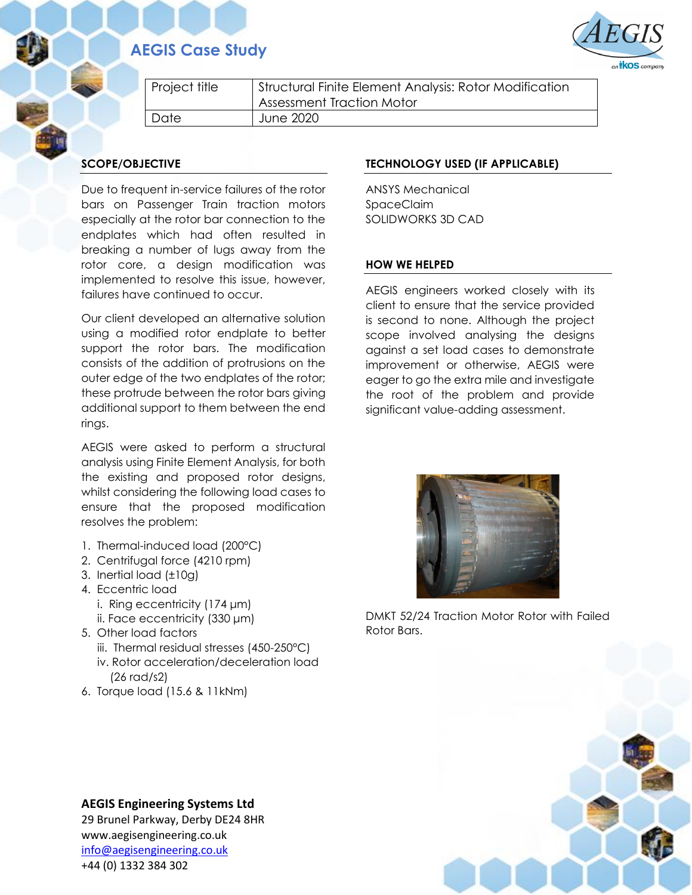## **AEGIS Case Study**



| Project title | Structural Finite Element Analysis: Rotor Modification<br>Assessment Traction Motor |
|---------------|-------------------------------------------------------------------------------------|
| Date          | June 2020                                                                           |

## **SCOPE/OBJECTIVE**

Due to frequent in-service failures of the rotor bars on Passenger Train traction motors especially at the rotor bar connection to the endplates which had often resulted in breaking a number of lugs away from the rotor core, a design modification was implemented to resolve this issue, however, failures have continued to occur.

Our client developed an alternative solution using a modified rotor endplate to better support the rotor bars. The modification consists of the addition of protrusions on the outer edge of the two endplates of the rotor; these protrude between the rotor bars giving additional support to them between the end rings.

AEGIS were asked to perform a structural analysis using Finite Element Analysis, for both the existing and proposed rotor designs, whilst considering the following load cases to ensure that the proposed modification resolves the problem:

- 1. Thermal-induced load (200°C)
- 2. Centrifugal force (4210 rpm)
- 3. Inertial load (±10g)
- 4. Eccentric load
	- i. Ring eccentricity (174 μm)
	- ii. Face eccentricity (330 μm)
- 5. Other load factors
	- iii. Thermal residual stresses (450-250°C)
	- iv. Rotor acceleration/deceleration load (26 rad/s2)
- 6. Torque load (15.6 & 11kNm)

## **TECHNOLOGY USED (IF APPLICABLE)**

ANSYS Mechanical SpaceClaim SOLIDWORKS 3D CAD

## **HOW WE HELPED**

AEGIS engineers worked closely with its client to ensure that the service provided is second to none. Although the project scope involved analysing the designs against a set load cases to demonstrate improvement or otherwise, AEGIS were eager to go the extra mile and investigate the root of the problem and provide significant value-adding assessment.



DMKT 52/24 Traction Motor Rotor with Failed Rotor Bars.



29 Brunel Parkway, Derby DE24 8HR www.aegisengineering.co.uk [info@aegisengineering.co.uk](mailto:info@aegisengineering.co.uk) +44 (0) 1332 384 302